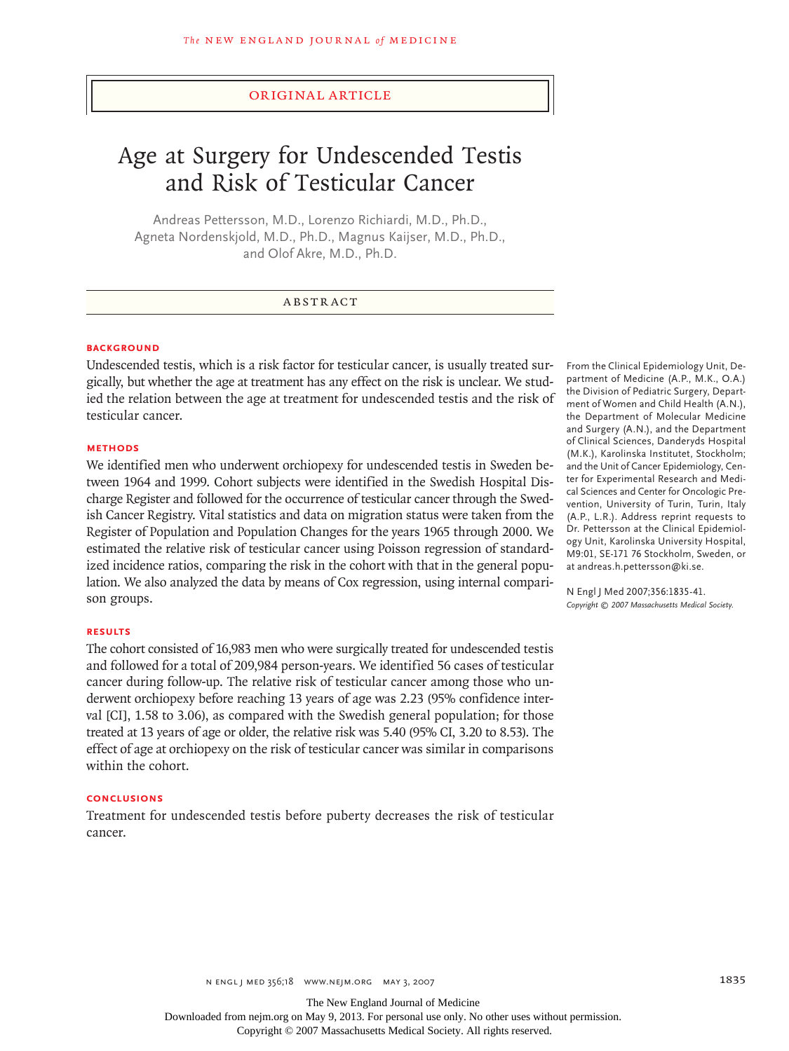## original article

# Age at Surgery for Undescended Testis and Risk of Testicular Cancer

Andreas Pettersson, M.D., Lorenzo Richiardi, M.D., Ph.D., Agneta Nordenskjold, M.D., Ph.D., Magnus Kaijser, M.D., Ph.D., and Olof Akre, M.D., Ph.D.

## **ABSTRACT**

## **BACKGROUND**

Undescended testis, which is a risk factor for testicular cancer, is usually treated surgically, but whether the age at treatment has any effect on the risk is unclear. We studied the relation between the age at treatment for undescended testis and the risk of testicular cancer.

#### **Methods**

We identified men who underwent orchiopexy for undescended testis in Sweden between 1964 and 1999. Cohort subjects were identified in the Swedish Hospital Discharge Register and followed for the occurrence of testicular cancer through the Swedish Cancer Registry. Vital statistics and data on migration status were taken from the Register of Population and Population Changes for the years 1965 through 2000. We estimated the relative risk of testicular cancer using Poisson regression of standardized incidence ratios, comparing the risk in the cohort with that in the general population. We also analyzed the data by means of Cox regression, using internal comparison groups.

#### **Results**

The cohort consisted of 16,983 men who were surgically treated for undescended testis and followed for a total of 209,984 person-years. We identified 56 cases of testicular cancer during follow-up. The relative risk of testicular cancer among those who underwent orchiopexy before reaching 13 years of age was 2.23 (95% confidence interval [CI], 1.58 to 3.06), as compared with the Swedish general population; for those treated at 13 years of age or older, the relative risk was 5.40 (95% CI, 3.20 to 8.53). The effect of age at orchiopexy on the risk of testicular cancer was similar in comparisons within the cohort.

#### **Conclusions**

Treatment for undescended testis before puberty decreases the risk of testicular cancer.

From the Clinical Epidemiology Unit, Department of Medicine (A.P., M.K., O.A.) the Division of Pediatric Surgery, Department of Women and Child Health (A.N.), the Department of Molecular Medicine and Surgery (A.N.), and the Department of Clinical Sciences, Danderyds Hospital (M.K.), Karolinska Institutet, Stockholm; and the Unit of Cancer Epidemiology, Center for Experimental Research and Medical Sciences and Center for Oncologic Prevention, University of Turin, Turin, Italy (A.P., L.R.). Address reprint requests to Dr. Pettersson at the Clinical Epidemiology Unit, Karolinska University Hospital, M9:01, SE-171 76 Stockholm, Sweden, or at andreas.h.pettersson@ki.se.

N Engl J Med 2007;356:1835-41. *Copyright © 2007 Massachusetts Medical Society.* 

The New England Journal of Medicine Downloaded from nejm.org on May 9, 2013. For personal use only. No other uses without permission.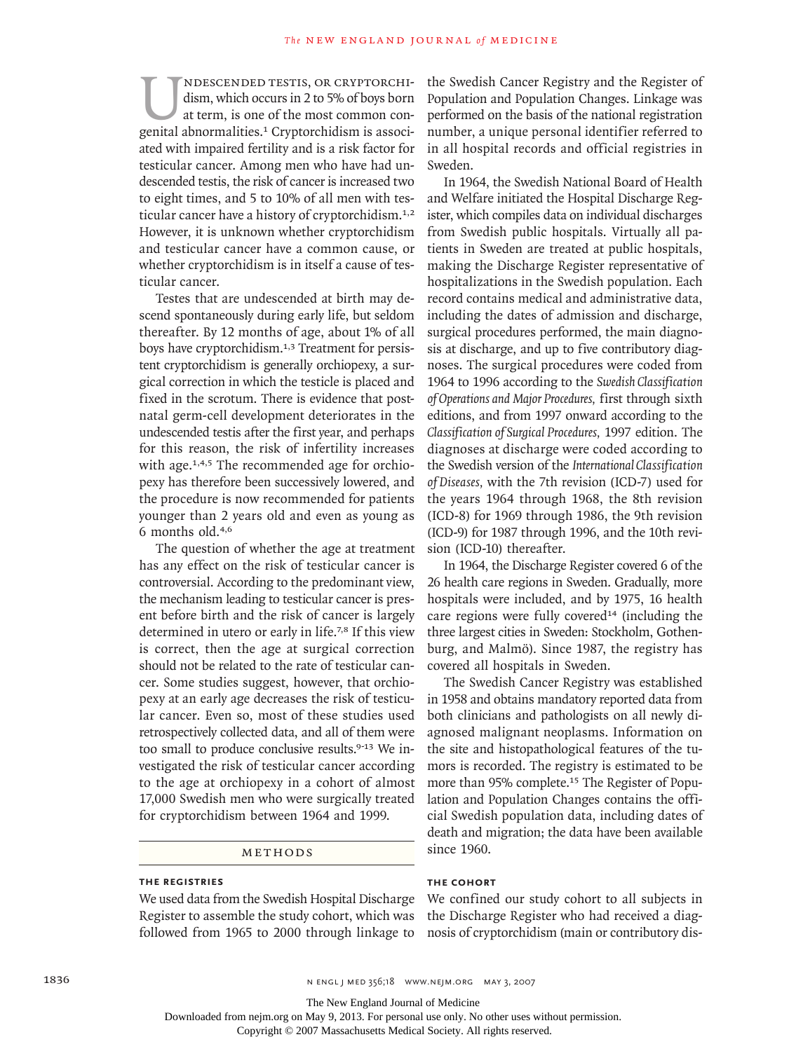IMPESCENDED TESTIS, OR CRYPTORCHI-<br>dism, which occurs in 2 to 5% of boys born<br>at term, is one of the most common con-<br>genital abnormalities.<sup>1</sup> Cryptorchidism is associdism, which occurs in 2 to 5% of boys born at term, is one of the most common conated with impaired fertility and is a risk factor for testicular cancer. Among men who have had undescended testis, the risk of cancer is increased two to eight times, and 5 to 10% of all men with testicular cancer have a history of cryptorchidism.<sup>1,2</sup> However, it is unknown whether cryptorchidism and testicular cancer have a common cause, or whether cryptorchidism is in itself a cause of testicular cancer.

Testes that are undescended at birth may descend spontaneously during early life, but seldom thereafter. By 12 months of age, about 1% of all boys have cryptorchidism.<sup>1,3</sup> Treatment for persistent cryptorchidism is generally orchiopexy, a surgical correction in which the testicle is placed and fixed in the scrotum. There is evidence that postnatal germ-cell development deteriorates in the undescended testis after the first year, and perhaps for this reason, the risk of infertility increases with age.<sup>1,4,5</sup> The recommended age for orchiopexy has therefore been successively lowered, and the procedure is now recommended for patients younger than 2 years old and even as young as 6 months old.4,6

The question of whether the age at treatment has any effect on the risk of testicular cancer is controversial. According to the predominant view, the mechanism leading to testicular cancer is present before birth and the risk of cancer is largely determined in utero or early in life.<sup>7,8</sup> If this view is correct, then the age at surgical correction should not be related to the rate of testicular cancer. Some studies suggest, however, that orchiopexy at an early age decreases the risk of testicular cancer. Even so, most of these studies used retrospectively collected data, and all of them were too small to produce conclusive results.<sup>9-13</sup> We investigated the risk of testicular cancer according to the age at orchiopexy in a cohort of almost 17,000 Swedish men who were surgically treated for cryptorchidism between 1964 and 1999.

## METHODS

# **The Registries**

We used data from the Swedish Hospital Discharge Register to assemble the study cohort, which was followed from 1965 to 2000 through linkage to the Swedish Cancer Registry and the Register of Population and Population Changes. Linkage was performed on the basis of the national registration number, a unique personal identifier referred to in all hospital records and official registries in Sweden.

In 1964, the Swedish National Board of Health and Welfare initiated the Hospital Discharge Register, which compiles data on individual discharges from Swedish public hospitals. Virtually all patients in Sweden are treated at public hospitals, making the Discharge Register representative of hospitalizations in the Swedish population. Each record contains medical and administrative data, including the dates of admission and discharge, surgical procedures performed, the main diagnosis at discharge, and up to five contributory diagnoses. The surgical procedures were coded from 1964 to 1996 according to the *Swedish Classification of Operations and Major Procedures,* first through sixth editions, and from 1997 onward according to the *Classification of Surgical Procedures,* 1997 edition. The diagnoses at discharge were coded according to the Swedish version of the *International Classification of Diseases,* with the 7th revision (ICD-7) used for the years 1964 through 1968, the 8th revision (ICD-8) for 1969 through 1986, the 9th revision (ICD-9) for 1987 through 1996, and the 10th revision (ICD-10) thereafter.

In 1964, the Discharge Register covered 6 of the 26 health care regions in Sweden. Gradually, more hospitals were included, and by 1975, 16 health care regions were fully covered<sup>14</sup> (including the three largest cities in Sweden: Stockholm, Gothenburg, and Malmö). Since 1987, the registry has covered all hospitals in Sweden.

The Swedish Cancer Registry was established in 1958 and obtains mandatory reported data from both clinicians and pathologists on all newly diagnosed malignant neoplasms. Information on the site and histopathological features of the tumors is recorded. The registry is estimated to be more than 95% complete.<sup>15</sup> The Register of Population and Population Changes contains the official Swedish population data, including dates of death and migration; the data have been available since 1960.

#### **The Cohort**

We confined our study cohort to all subjects in the Discharge Register who had received a diagnosis of cryptorchidism (main or contributory dis-

Downloaded from nejm.org on May 9, 2013. For personal use only. No other uses without permission.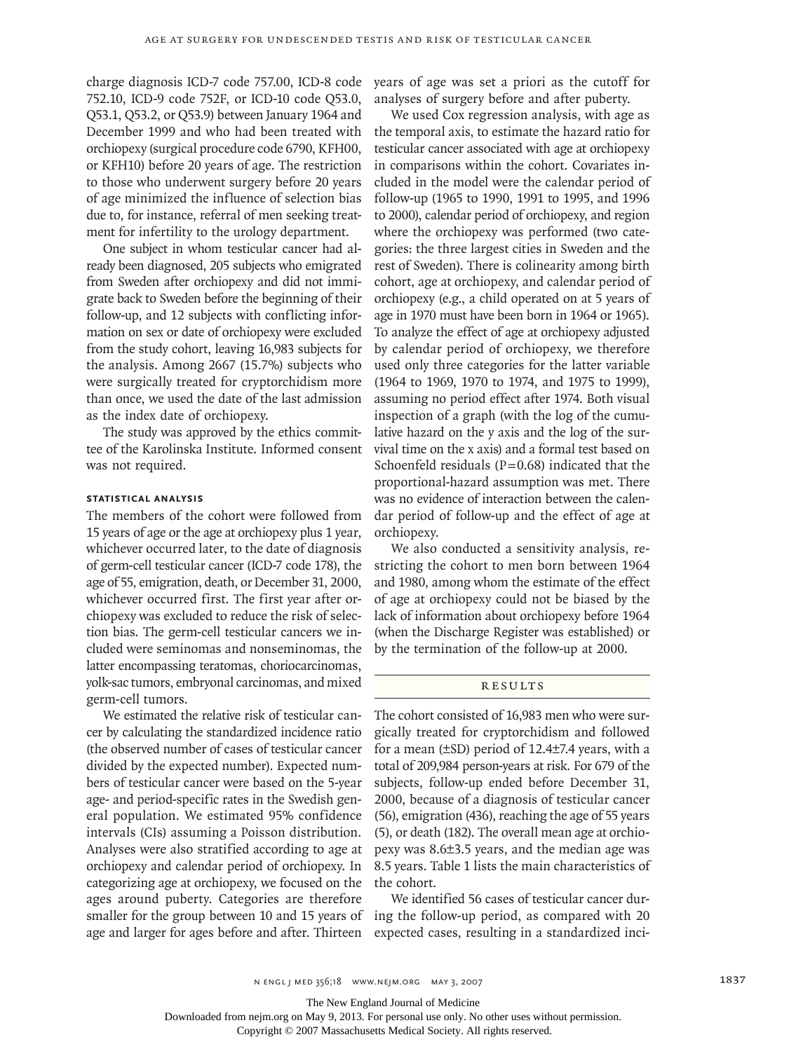charge diagnosis ICD-7 code 757.00, ICD-8 code 752.10, ICD-9 code 752F, or ICD-10 code Q53.0, Q53.1, Q53.2, or Q53.9) between January 1964 and December 1999 and who had been treated with orchiopexy (surgical procedure code 6790, KFH00, or KFH10) before 20 years of age. The restriction to those who underwent surgery before 20 years of age minimized the influence of selection bias due to, for instance, referral of men seeking treatment for infertility to the urology department.

One subject in whom testicular cancer had already been diagnosed, 205 subjects who emigrated from Sweden after orchiopexy and did not immigrate back to Sweden before the beginning of their follow-up, and 12 subjects with conflicting information on sex or date of orchiopexy were excluded from the study cohort, leaving 16,983 subjects for the analysis. Among 2667 (15.7%) subjects who were surgically treated for cryptorchidism more than once, we used the date of the last admission as the index date of orchiopexy.

The study was approved by the ethics committee of the Karolinska Institute. Informed consent was not required.

#### **Statistical Analysis**

The members of the cohort were followed from 15 years of age or the age at orchiopexy plus 1 year, whichever occurred later, to the date of diagnosis of germ-cell testicular cancer (ICD-7 code 178), the age of 55, emigration, death, or December 31, 2000, whichever occurred first. The first year after orchiopexy was excluded to reduce the risk of selection bias. The germ-cell testicular cancers we included were seminomas and nonseminomas, the latter encompassing teratomas, choriocarcinomas, yolk-sac tumors, embryonal carcinomas, and mixed germ-cell tumors.

We estimated the relative risk of testicular cancer by calculating the standardized incidence ratio (the observed number of cases of testicular cancer divided by the expected number). Expected numbers of testicular cancer were based on the 5-year age- and period-specific rates in the Swedish general population. We estimated 95% confidence intervals (CIs) assuming a Poisson distribution. Analyses were also stratified according to age at orchiopexy and calendar period of orchiopexy. In categorizing age at orchiopexy, we focused on the ages around puberty. Categories are therefore smaller for the group between 10 and 15 years of ing the follow-up period, as compared with 20

years of age was set a priori as the cutoff for analyses of surgery before and after puberty.

We used Cox regression analysis, with age as the temporal axis, to estimate the hazard ratio for testicular cancer associated with age at orchiopexy in comparisons within the cohort. Covariates included in the model were the calendar period of follow-up (1965 to 1990, 1991 to 1995, and 1996 to 2000), calendar period of orchiopexy, and region where the orchiopexy was performed (two categories: the three largest cities in Sweden and the rest of Sweden). There is colinearity among birth cohort, age at orchiopexy, and calendar period of orchiopexy (e.g., a child operated on at 5 years of age in 1970 must have been born in 1964 or 1965). To analyze the effect of age at orchiopexy adjusted by calendar period of orchiopexy, we therefore used only three categories for the latter variable (1964 to 1969, 1970 to 1974, and 1975 to 1999), assuming no period effect after 1974. Both visual inspection of a graph (with the log of the cumulative hazard on the y axis and the log of the survival time on the x axis) and a formal test based on Schoenfeld residuals  $(P=0.68)$  indicated that the proportional-hazard assumption was met. There was no evidence of interaction between the calendar period of follow-up and the effect of age at orchiopexy.

We also conducted a sensitivity analysis, restricting the cohort to men born between 1964 and 1980, among whom the estimate of the effect of age at orchiopexy could not be biased by the lack of information about orchiopexy before 1964 (when the Discharge Register was established) or by the termination of the follow-up at 2000.

# R esult s

The cohort consisted of 16,983 men who were surgically treated for cryptorchidism and followed for a mean (±SD) period of 12.4±7.4 years, with a total of 209,984 person-years at risk. For 679 of the subjects, follow-up ended before December 31, 2000, because of a diagnosis of testicular cancer (56), emigration (436), reaching the age of 55 years (5), or death (182). The overall mean age at orchiopexy was 8.6±3.5 years, and the median age was 8.5 years. Table 1 lists the main characteristics of the cohort.

age and larger for ages before and after. Thirteen expected cases, resulting in a standardized inci-We identified 56 cases of testicular cancer dur-

The New England Journal of Medicine

Downloaded from nejm.org on May 9, 2013. For personal use only. No other uses without permission.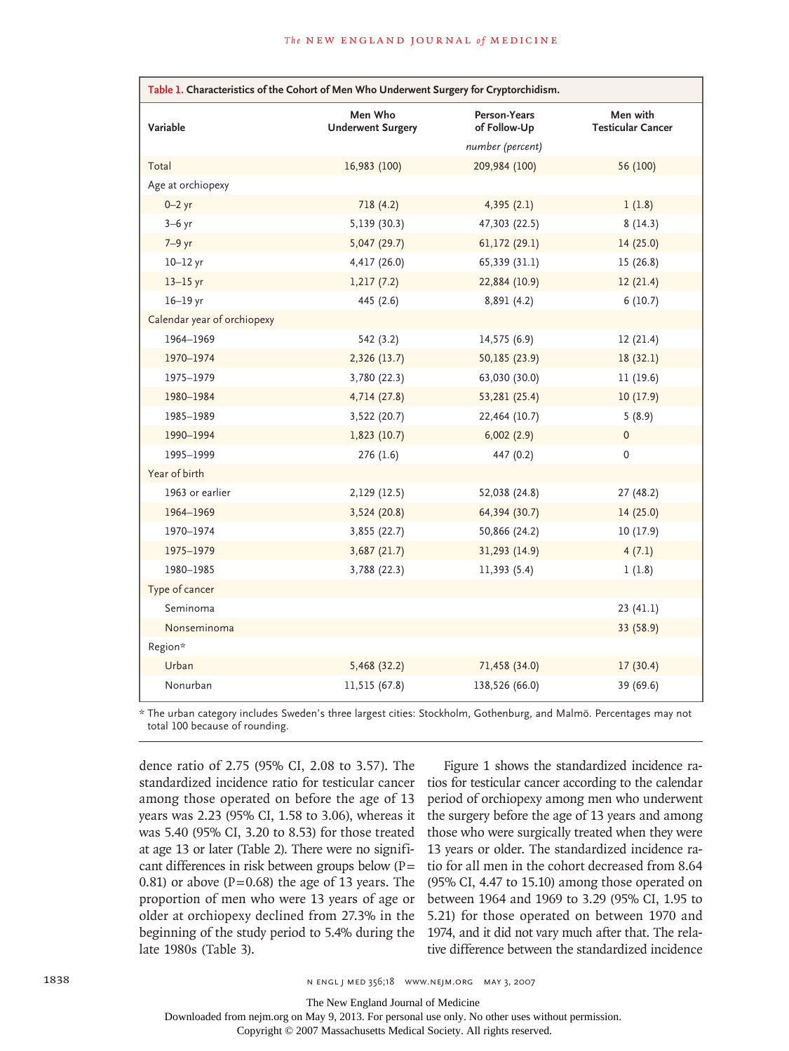| Table 1. Characteristics of the Cohort of Men Who Underwent Surgery for Cryptorchidism. |                                     |                              |                                      |  |
|-----------------------------------------------------------------------------------------|-------------------------------------|------------------------------|--------------------------------------|--|
| Variable                                                                                | Men Who<br><b>Underwent Surgery</b> | Person-Years<br>of Follow-Up | Men with<br><b>Testicular Cancer</b> |  |
|                                                                                         |                                     | number (percent)             |                                      |  |
| Total                                                                                   | 16,983 (100)                        | 209,984 (100)                | 56 (100)                             |  |
| Age at orchiopexy                                                                       |                                     |                              |                                      |  |
| $0 - 2$ yr                                                                              | 718 (4.2)                           | 4,395(2.1)                   | 1(1.8)                               |  |
| $3-6$ yr                                                                                | 5,139 (30.3)                        | 47,303 (22.5)                | 8(14.3)                              |  |
| 7-9 yr                                                                                  | 5,047 (29.7)                        | 61,172 (29.1)                | 14(25.0)                             |  |
| $10-12$ yr                                                                              | 4,417 (26.0)                        | 65,339 (31.1)                | 15(26.8)                             |  |
| $13-15$ yr                                                                              | 1,217(7.2)                          | 22,884 (10.9)                | 12(21.4)                             |  |
| $16-19$ yr                                                                              | 445 (2.6)                           | 8,891 (4.2)                  | 6(10.7)                              |  |
| Calendar year of orchiopexy                                                             |                                     |                              |                                      |  |
| 1964-1969                                                                               | 542 (3.2)                           | 14,575 (6.9)                 | 12(21.4)                             |  |
| 1970-1974                                                                               | 2,326 (13.7)                        | 50,185 (23.9)                | 18(32.1)                             |  |
| 1975-1979                                                                               | 3,780 (22.3)                        | 63,030 (30.0)                | 11(19.6)                             |  |
| 1980-1984                                                                               | 4,714 (27.8)                        | 53,281 (25.4)                | 10(17.9)                             |  |
| 1985-1989                                                                               | 3,522 (20.7)                        | 22,464 (10.7)                | 5(8.9)                               |  |
| 1990-1994                                                                               | 1,823(10.7)                         | 6,002(2.9)                   | 0                                    |  |
| 1995-1999                                                                               | 276(1.6)                            | 447 (0.2)                    | 0                                    |  |
| Year of birth                                                                           |                                     |                              |                                      |  |
| 1963 or earlier                                                                         | 2,129 (12.5)                        | 52,038 (24.8)                | 27 (48.2)                            |  |
| 1964-1969                                                                               | 3,524 (20.8)                        | 64,394 (30.7)                | 14(25.0)                             |  |
| 1970-1974                                                                               | 3,855 (22.7)                        | 50,866 (24.2)                | 10(17.9)                             |  |
| 1975-1979                                                                               | 3,687(21.7)                         | 31,293 (14.9)                | 4(7.1)                               |  |
| 1980-1985                                                                               | 3,788 (22.3)                        | 11,393 (5.4)                 | 1(1.8)                               |  |
| Type of cancer                                                                          |                                     |                              |                                      |  |
| Seminoma                                                                                |                                     |                              | 23(41.1)                             |  |
| Nonseminoma                                                                             |                                     |                              | 33 (58.9)                            |  |
| Region*                                                                                 |                                     |                              |                                      |  |
| Urban                                                                                   | 5,468 (32.2)                        | 71,458 (34.0)                | 17(30.4)                             |  |
| Nonurban                                                                                | 11,515 (67.8)                       | 138,526 (66.0)               | 39 (69.6)                            |  |

\* The urban category includes Sweden's three largest cities: Stockholm, Gothenburg, and Malmö. Percentages may not total 100 because of rounding.

dence ratio of 2.75 (95% CI, 2.08 to 3.57). The standardized incidence ratio for testicular cancer among those operated on before the age of 13 years was 2.23 (95% CI, 1.58 to 3.06), whereas it was 5.40 (95% CI, 3.20 to 8.53) for those treated at age 13 or later (Table 2). There were no significant differences in risk between groups below (P= 0.81) or above ( $P=0.68$ ) the age of 13 years. The proportion of men who were 13 years of age or older at orchiopexy declined from 27.3% in the beginning of the study period to 5.4% during the late 1980s (Table 3).

Figure 1 shows the standardized incidence ratios for testicular cancer according to the calendar period of orchiopexy among men who underwent the surgery before the age of 13 years and among those who were surgically treated when they were 13 years or older. The standardized incidence ratio for all men in the cohort decreased from 8.64 (95% CI, 4.47 to 15.10) among those operated on between 1964 and 1969 to 3.29 (95% CI, 1.95 to 5.21) for those operated on between 1970 and 1974, and it did not vary much after that. The relative difference between the standardized incidence

The New England Journal of Medicine

Downloaded from nejm.org on May 9, 2013. For personal use only. No other uses without permission.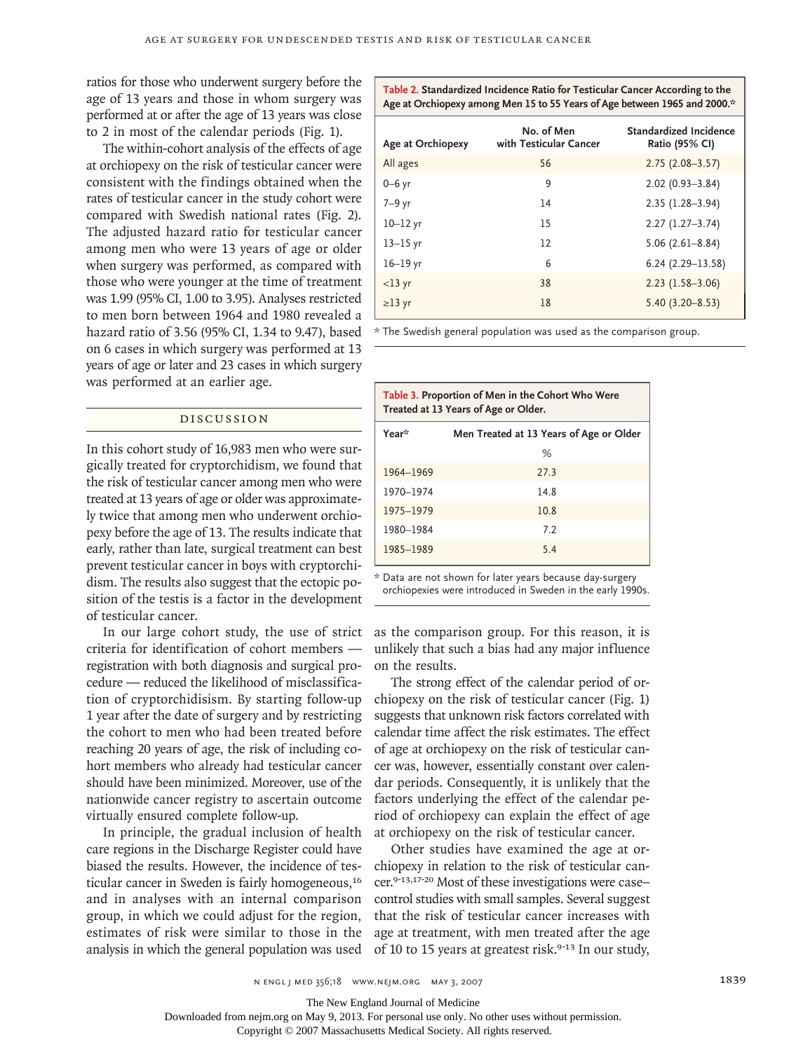ratios for those who underwent surgery before the age of 13 years and those in whom surgery was performed at or after the age of 13 years was close to 2 in most of the calendar periods (Fig. 1).

The within-cohort analysis of the effects of age at orchiopexy on the risk of testicular cancer were consistent with the findings obtained when the rates of testicular cancer in the study cohort were compared with Swedish national rates (Fig. 2). The adjusted hazard ratio for testicular cancer among men who were 13 years of age or older when surgery was performed, as compared with those who were younger at the time of treatment was 1.99 (95% CI, 1.00 to 3.95). Analyses restricted to men born between 1964 and 1980 revealed a hazard ratio of 3.56 (95% CI, 1.34 to 9.47), based on 6 cases in which surgery was performed at 13 years of age or later and 23 cases in which surgery was performed at an earlier age.

# Discussion

In this cohort study of 16,983 men who were surgically treated for cryptorchidism, we found that the risk of testicular cancer among men who were treated at 13 years of age or older was approximately twice that among men who underwent orchiopexy before the age of 13. The results indicate that early, rather than late, surgical treatment can best prevent testicular cancer in boys with cryptorchidism. The results also suggest that the ectopic position of the testis is a factor in the development of testicular cancer.

In our large cohort study, the use of strict criteria for identification of cohort members registration with both diagnosis and surgical procedure — reduced the likelihood of misclassification of cryptorchidisism. By starting follow-up 1 year after the date of surgery and by restricting the cohort to men who had been treated before reaching 20 years of age, the risk of including cohort members who already had testicular cancer should have been minimized. Moreover, use of the nationwide cancer registry to ascertain outcome virtually ensured complete follow-up.

In principle, the gradual inclusion of health care regions in the Discharge Register could have biased the results. However, the incidence of testicular cancer in Sweden is fairly homogeneous,<sup>16</sup> and in analyses with an internal comparison group, in which we could adjust for the region, estimates of risk were similar to those in the analysis in which the general population was used

**Table 2. Standardized Incidence Ratio for Testicular Cancer According to the Age at Orchiopexy among Men 15 to 55 Years of Age between 1965 and 2000.\***

| Age at Orchiopexy | No. of Men<br>with Testicular Cancer | Standardized Incidence<br>Ratio (95% CI) |
|-------------------|--------------------------------------|------------------------------------------|
| All ages          | 56                                   | $2.75(2.08 - 3.57)$                      |
| $0 - 6$ yr        | 9                                    | $2.02(0.93 - 3.84)$                      |
| 7-9 yr            | 14                                   | $2.35(1.28 - 3.94)$                      |
| $10-12$ yr        | 15                                   | $2.27(1.27-3.74)$                        |
| $13 - 15$ yr      | 12                                   | $5.06(2.61 - 8.84)$                      |
| $16-19$ yr        | 6                                    | $6.24(2.29-13.58)$                       |
| $<$ 13 yr         | 38                                   | $2.23(1.58-3.06)$                        |
| $\geq$ 13 yr      | 18                                   | $5.40(3.20 - 8.53)$                      |

\* The Swedish general population was used as the comparison group.

| Table 3. Proportion of Men in the Cohort Who Were<br>Treated at 13 Years of Age or Older. |                                         |  |  |
|-------------------------------------------------------------------------------------------|-----------------------------------------|--|--|
| Year*                                                                                     | Men Treated at 13 Years of Age or Older |  |  |
|                                                                                           | %                                       |  |  |
| 1964-1969                                                                                 | 77.3                                    |  |  |
| 1970-1974                                                                                 | 14.8                                    |  |  |
| 1975-1979                                                                                 | 10.8                                    |  |  |
| 1980-1984                                                                                 | 7.2                                     |  |  |
| 1985-1989                                                                                 | 5.4                                     |  |  |

\* Data are not shown for later years because day-surgery orchiopexies were introduced in Sweden in the early 1990s.

as the comparison group. For this reason, it is unlikely that such a bias had any major influence on the results.

The strong effect of the calendar period of orchiopexy on the risk of testicular cancer (Fig. 1) suggests that unknown risk factors correlated with calendar time affect the risk estimates. The effect of age at orchiopexy on the risk of testicular cancer was, however, essentially constant over calendar periods. Consequently, it is unlikely that the factors underlying the effect of the calendar period of orchiopexy can explain the effect of age at orchiopexy on the risk of testicular cancer.

Other studies have examined the age at orchiopexy in relation to the risk of testicular cancer.9-13,17-20 Most of these investigations were case– control studies with small samples. Several suggest that the risk of testicular cancer increases with age at treatment, with men treated after the age of 10 to 15 years at greatest risk.<sup>9-13</sup> In our study,

The New England Journal of Medicine

Downloaded from nejm.org on May 9, 2013. For personal use only. No other uses without permission.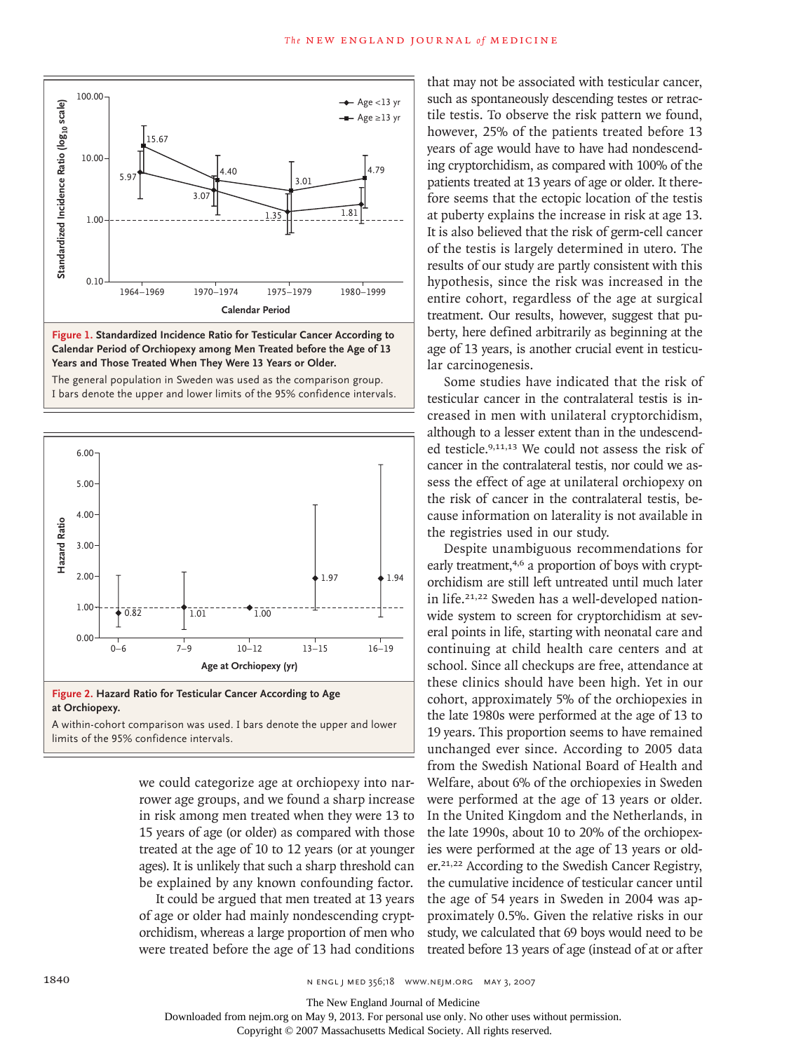



The general population in Sweden was used as the comparison group. I bars denote the upper and lower limits of the 95% confidence intervals.  $\overline{a}$ **SIZE** EMail Line  $\overline{a}$ ARTIST: ts 6.00





2 of 2

FIGURE:

REG F

 $\lim$  is of the 95% confidence intervals. A within-cohort comparison was used. I bars denote the upper and lower

> we could categorize age at orchiopexy into narrower age groups, and we found a sharp increase in risk among men treated when they were 13 to 15 years of age (or older) as compared with those treated at the age of 10 to 12 years (or at younger ages). It is unlikely that such a sharp threshold can be explained by any known confounding factor.

It could be argued that men treated at 13 years of age or older had mainly nondescending cryptorchidism, whereas a large proportion of men who were treated before the age of 13 had conditions that may not be associated with testicular cancer, such as spontaneously descending testes or retractile testis. To observe the risk pattern we found, however, 25% of the patients treated before 13 years of age would have to have had nondescending cryptorchidism, as compared with 100% of the patients treated at 13 years of age or older. It therefore seems that the ectopic location of the testis at puberty explains the increase in risk at age 13. It is also believed that the risk of germ-cell cancer of the testis is largely determined in utero. The results of our study are partly consistent with this hypothesis, since the risk was increased in the entire cohort, regardless of the age at surgical treatment. Our results, however, suggest that puberty, here defined arbitrarily as beginning at the age of 13 years, is another crucial event in testicular carcinogenesis.

Some studies have indicated that the risk of testicular cancer in the contralateral testis is increased in men with unilateral cryptorchidism, although to a lesser extent than in the undescended testicle.9,11,13 We could not assess the risk of cancer in the contralateral testis, nor could we assess the effect of age at unilateral orchiopexy on the risk of cancer in the contralateral testis, because information on laterality is not available in the registries used in our study.

Despite unambiguous recommendations for early treatment,<sup>4,6</sup> a proportion of boys with cryptorchidism are still left untreated until much later in life.21,22 Sweden has a well-developed nationwide system to screen for cryptorchidism at several points in life, starting with neonatal care and continuing at child health care centers and at school. Since all checkups are free, attendance at these clinics should have been high. Yet in our cohort, approximately 5% of the orchiopexies in the late 1980s were performed at the age of 13 to 19 years. This proportion seems to have remained unchanged ever since. According to 2005 data from the Swedish National Board of Health and Welfare, about 6% of the orchiopexies in Sweden were performed at the age of 13 years or older. In the United Kingdom and the Netherlands, in the late 1990s, about 10 to 20% of the orchiopexies were performed at the age of 13 years or older.21,22 According to the Swedish Cancer Registry, the cumulative incidence of testicular cancer until the age of 54 years in Sweden in 2004 was approximately 0.5%. Given the relative risks in our study, we calculated that 69 boys would need to be treated before 13 years of age (instead of at or after

1840 **n engl j med 356;18** www.nejm.org may 3, 2007

The New England Journal of Medicine

 $\overline{\phantom{a}}$ 

Downloaded from nejm.org on May 9, 2013. For personal use only. No other uses without permission.